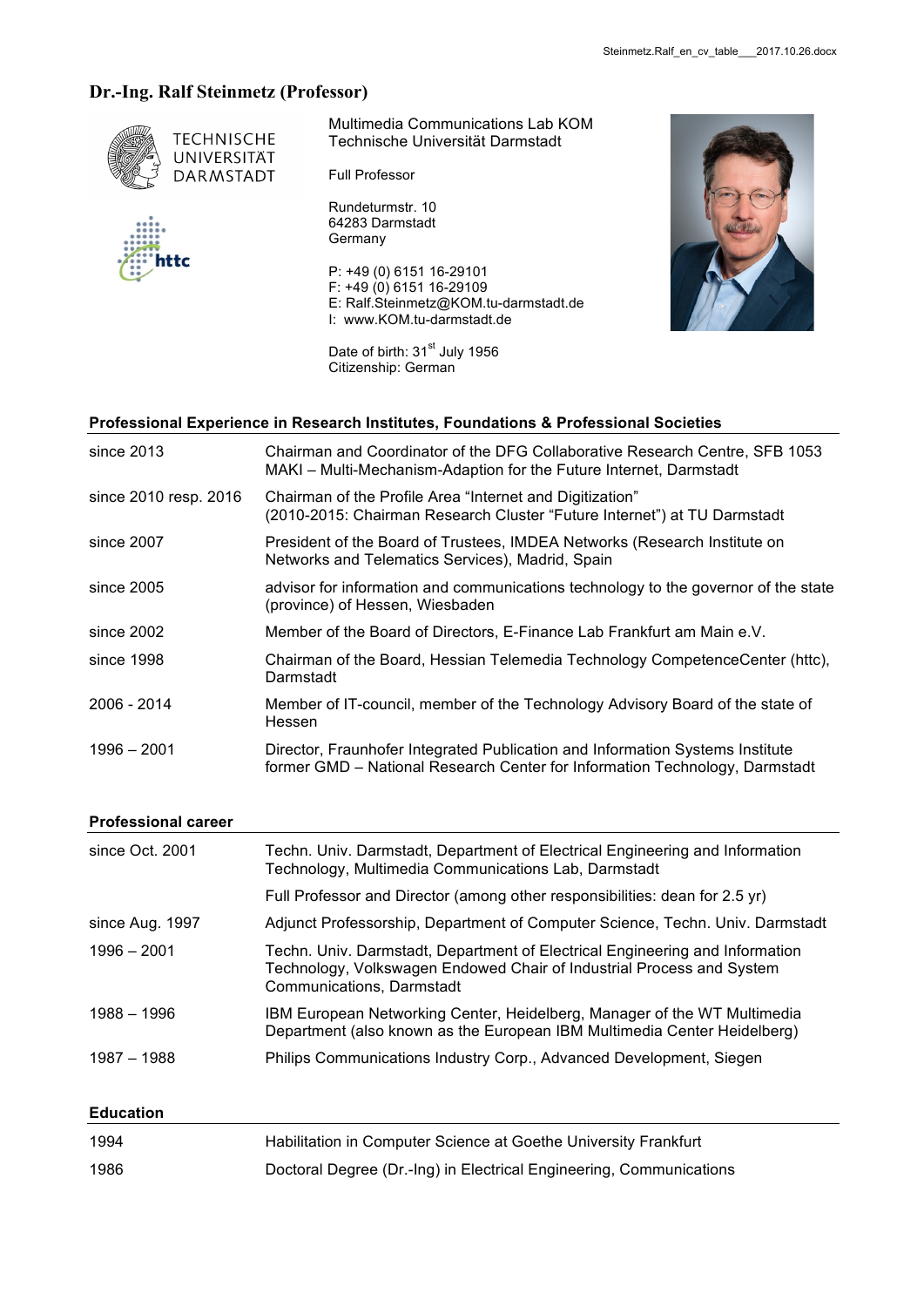# **Dr.-Ing. Ralf Steinmetz (Professor)**



Multimedia Communications Lab KOM Technische Universität Darmstadt

Full Professor

Rundeturmstr. 10 64283 Darmstadt **Germany** 

P: +49 (0) 6151 16-29101 F: +49 (0) 6151 16-29109 E: Ralf.Steinmetz@KOM.tu-darmstadt.de I: www.KOM.tu-darmstadt.de

Date of birth: 31<sup>st</sup> July 1956 Citizenship: German



### **Professional Experience in Research Institutes, Foundations & Professional Societies**

| since 2013            | Chairman and Coordinator of the DFG Collaborative Research Centre, SFB 1053<br>MAKI - Multi-Mechanism-Adaption for the Future Internet, Darmstadt            |
|-----------------------|--------------------------------------------------------------------------------------------------------------------------------------------------------------|
| since 2010 resp. 2016 | Chairman of the Profile Area "Internet and Digitization"<br>(2010-2015: Chairman Research Cluster "Future Internet") at TU Darmstadt                         |
| since 2007            | President of the Board of Trustees, IMDEA Networks (Research Institute on<br>Networks and Telematics Services), Madrid, Spain                                |
| since $2005$          | advisor for information and communications technology to the governor of the state<br>(province) of Hessen, Wiesbaden                                        |
| since 2002            | Member of the Board of Directors, E-Finance Lab Frankfurt am Main e.V.                                                                                       |
| since 1998            | Chairman of the Board, Hessian Telemedia Technology CompetenceCenter (httc),<br>Darmstadt                                                                    |
| 2006 - 2014           | Member of IT-council, member of the Technology Advisory Board of the state of<br>Hessen                                                                      |
| $1996 - 2001$         | Director, Fraunhofer Integrated Publication and Information Systems Institute<br>former GMD - National Research Center for Information Technology, Darmstadt |

#### **Professional career**

| since Oct. 2001 | Techn. Univ. Darmstadt, Department of Electrical Engineering and Information<br>Technology, Multimedia Communications Lab, Darmstadt                                               |
|-----------------|------------------------------------------------------------------------------------------------------------------------------------------------------------------------------------|
|                 | Full Professor and Director (among other responsibilities: dean for 2.5 yr)                                                                                                        |
| since Aug. 1997 | Adjunct Professorship, Department of Computer Science, Techn. Univ. Darmstadt                                                                                                      |
| $1996 - 2001$   | Techn. Univ. Darmstadt, Department of Electrical Engineering and Information<br>Technology, Volkswagen Endowed Chair of Industrial Process and System<br>Communications, Darmstadt |
| 1988 - 1996     | IBM European Networking Center, Heidelberg, Manager of the WT Multimedia<br>Department (also known as the European IBM Multimedia Center Heidelberg)                               |
| 1987 - 1988     | Philips Communications Industry Corp., Advanced Development, Siegen                                                                                                                |

## **Education**

| 1994 | Habilitation in Computer Science at Goethe University Frankfurt     |
|------|---------------------------------------------------------------------|
| 1986 | Doctoral Degree (Dr.-Ing) in Electrical Engineering, Communications |